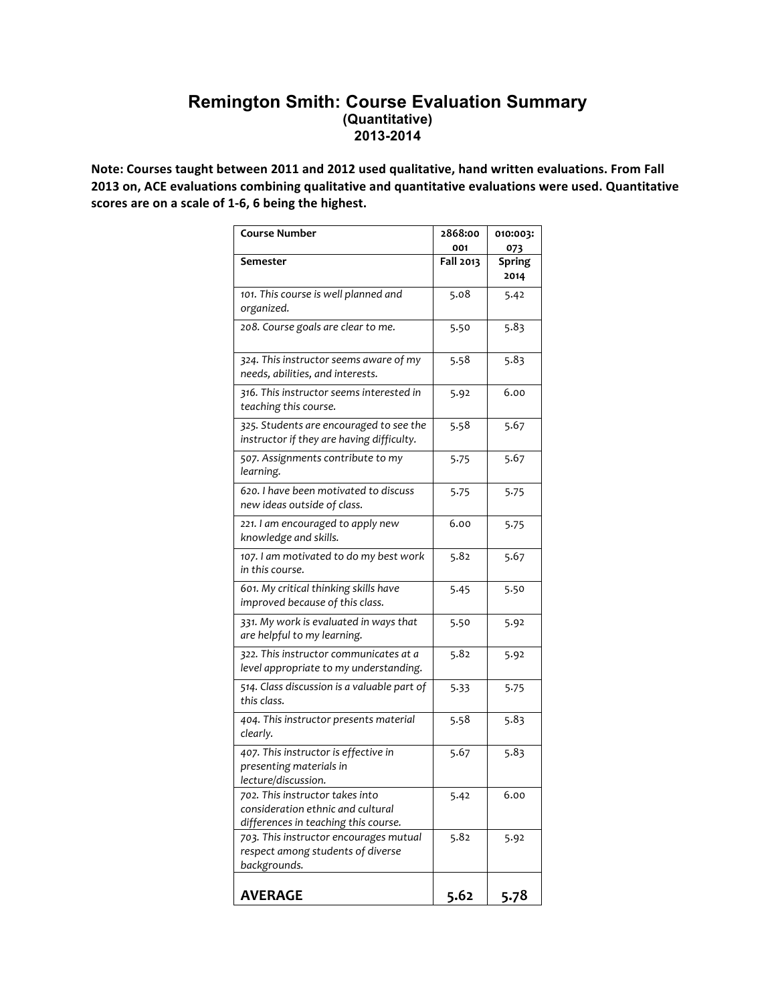# **Remington Smith: Course Evaluation Summary (Quantitative) 2013-2014**

Note: Courses taught between 2011 and 2012 used qualitative, hand written evaluations. From Fall 2013 on, ACE evaluations combining qualitative and quantitative evaluations were used. Quantitative scores are on a scale of 1-6, 6 being the highest.

| <b>Course Number</b>                                                                                         | 2868:00   | 010:003:              |
|--------------------------------------------------------------------------------------------------------------|-----------|-----------------------|
|                                                                                                              | 001       | 073                   |
| Semester                                                                                                     | Fall 2013 | <b>Spring</b><br>2014 |
| 101. This course is well planned and<br>organized.                                                           | 5.08      | 5.42                  |
| 208. Course goals are clear to me.                                                                           | 5.50      | 5.83                  |
| 324. This instructor seems aware of my<br>needs, abilities, and interests.                                   | 5.58      | 5.83                  |
| 316. This instructor seems interested in<br>teaching this course.                                            | 5.92      | 6.00                  |
| 325. Students are encouraged to see the<br>instructor if they are having difficulty.                         | 5.58      | 5.67                  |
| 507. Assignments contribute to my<br>learning.                                                               | 5.75      | 5.67                  |
| 620. I have been motivated to discuss<br>new ideas outside of class.                                         | 5.75      | 5.75                  |
| 221. I am encouraged to apply new<br>knowledge and skills.                                                   | 6.00      | 5.75                  |
| 107. I am motivated to do my best work<br>in this course.                                                    | 5.82      | 5.67                  |
| 601. My critical thinking skills have<br>improved because of this class.                                     | 5.45      | 5.50                  |
| 331. My work is evaluated in ways that<br>are helpful to my learning.                                        | 5.50      | 5.92                  |
| 322. This instructor communicates at a<br>level appropriate to my understanding.                             | 5.82      | 5.92                  |
| 514. Class discussion is a valuable part of<br>this class.                                                   | 5.33      | 5.75                  |
| 404. This instructor presents material<br>clearly.                                                           | 5.58      | 5.83                  |
| 407. This instructor is effective in<br>presenting materials in<br>lecture/discussion.                       | 5.67      | 5.83                  |
| 702. This instructor takes into<br>consideration ethnic and cultural<br>differences in teaching this course. | 5.42      | 6.00                  |
| 703. This instructor encourages mutual<br>respect among students of diverse<br>backgrounds.                  | 5.82      | 5.92                  |
| <b>AVERAGE</b>                                                                                               | 5.62      | 5.78                  |